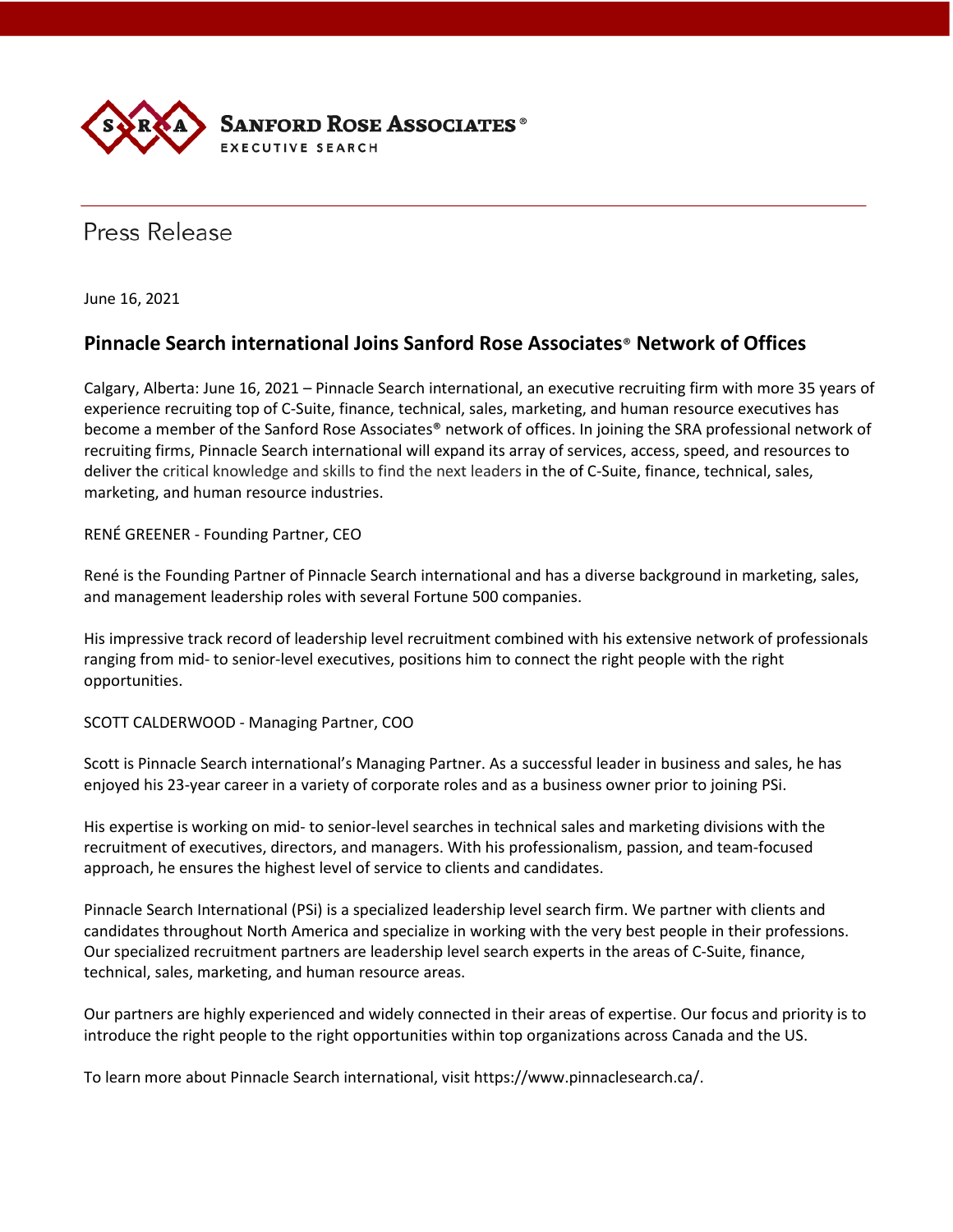

Press Release

June 16, 2021

## **Pinnacle Search international Joins Sanford Rose Associates**® **Network of Offices**

Calgary, Alberta: June 16, 2021 – Pinnacle Search international, an executive recruiting firm with more 35 years of experience recruiting top of C-Suite, finance, technical, sales, marketing, and human resource executives has become a member of the Sanford Rose Associates® network of offices. In joining the SRA professional network of recruiting firms, Pinnacle Search international will expand its array of services, access, speed, and resources to deliver the critical knowledge and skills to find the next leaders in the of C-Suite, finance, technical, sales, marketing, and human resource industries.

RENÉ GREENER - Founding Partner, CEO

René is the Founding Partner of Pinnacle Search international and has a diverse background in marketing, sales, and management leadership roles with several Fortune 500 companies.

His impressive track record of leadership level recruitment combined with his extensive network of professionals ranging from mid- to senior-level executives, positions him to connect the right people with the right opportunities.

SCOTT CALDERWOOD - Managing Partner, COO

Scott is Pinnacle Search international's Managing Partner. As a successful leader in business and sales, he has enjoyed his 23-year career in a variety of corporate roles and as a business owner prior to joining PSi.

His expertise is working on mid- to senior-level searches in technical sales and marketing divisions with the recruitment of executives, directors, and managers. With his professionalism, passion, and team-focused approach, he ensures the highest level of service to clients and candidates.

Pinnacle Search International (PSi) is a specialized leadership level search firm. We partner with clients and candidates throughout North America and specialize in working with the very best people in their professions. Our specialized recruitment partners are leadership level search experts in the areas of C-Suite, finance, technical, sales, marketing, and human resource areas.

Our partners are highly experienced and widely connected in their areas of expertise. Our focus and priority is to introduce the right people to the right opportunities within top organizations across Canada and the US.

To learn more about Pinnacle Search international, visit https://www.pinnaclesearch.ca/.